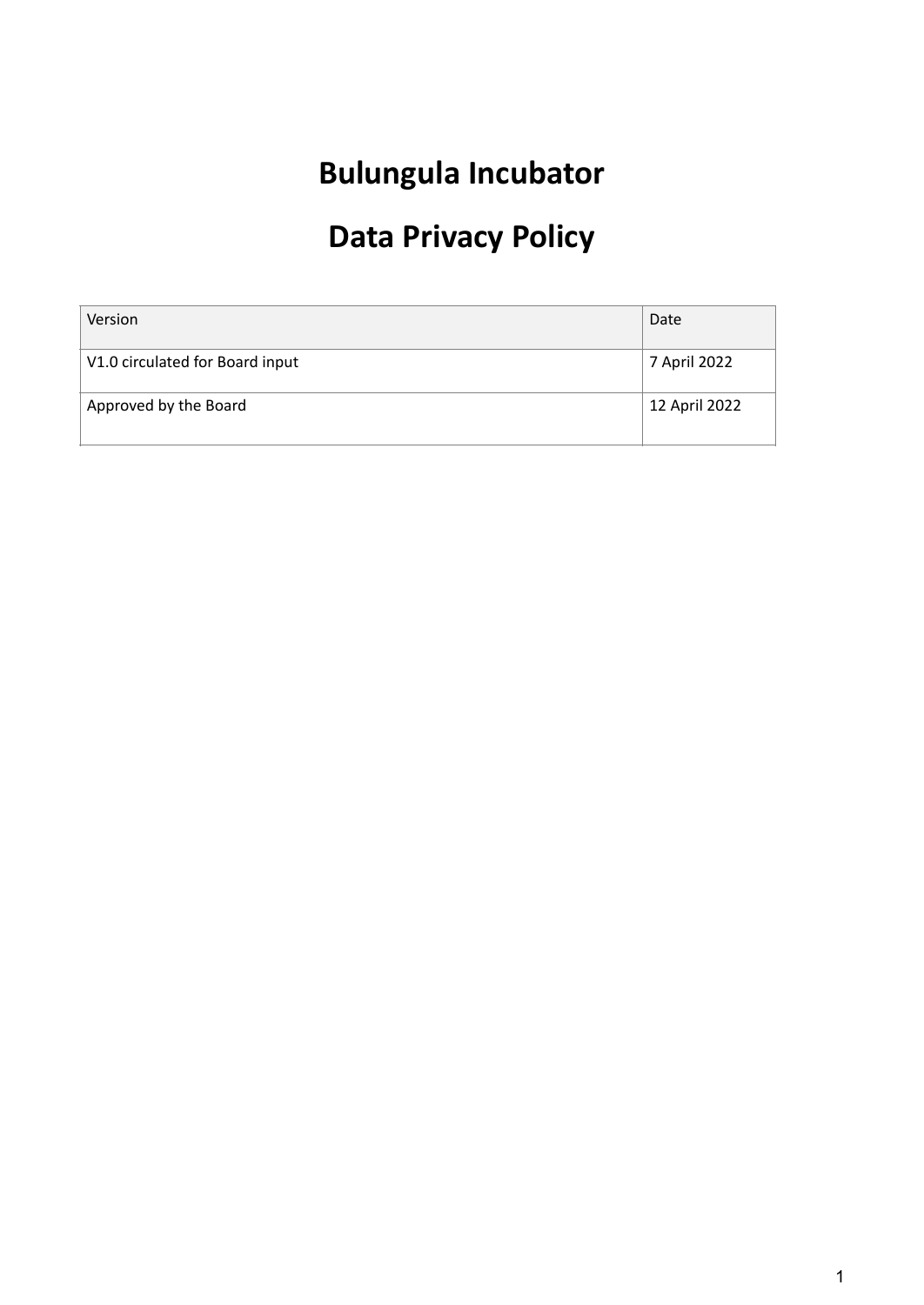# **Bulungula Incubator**

# **Data Privacy Policy**

| Version                         | Date          |
|---------------------------------|---------------|
| V1.0 circulated for Board input | 7 April 2022  |
| Approved by the Board           | 12 April 2022 |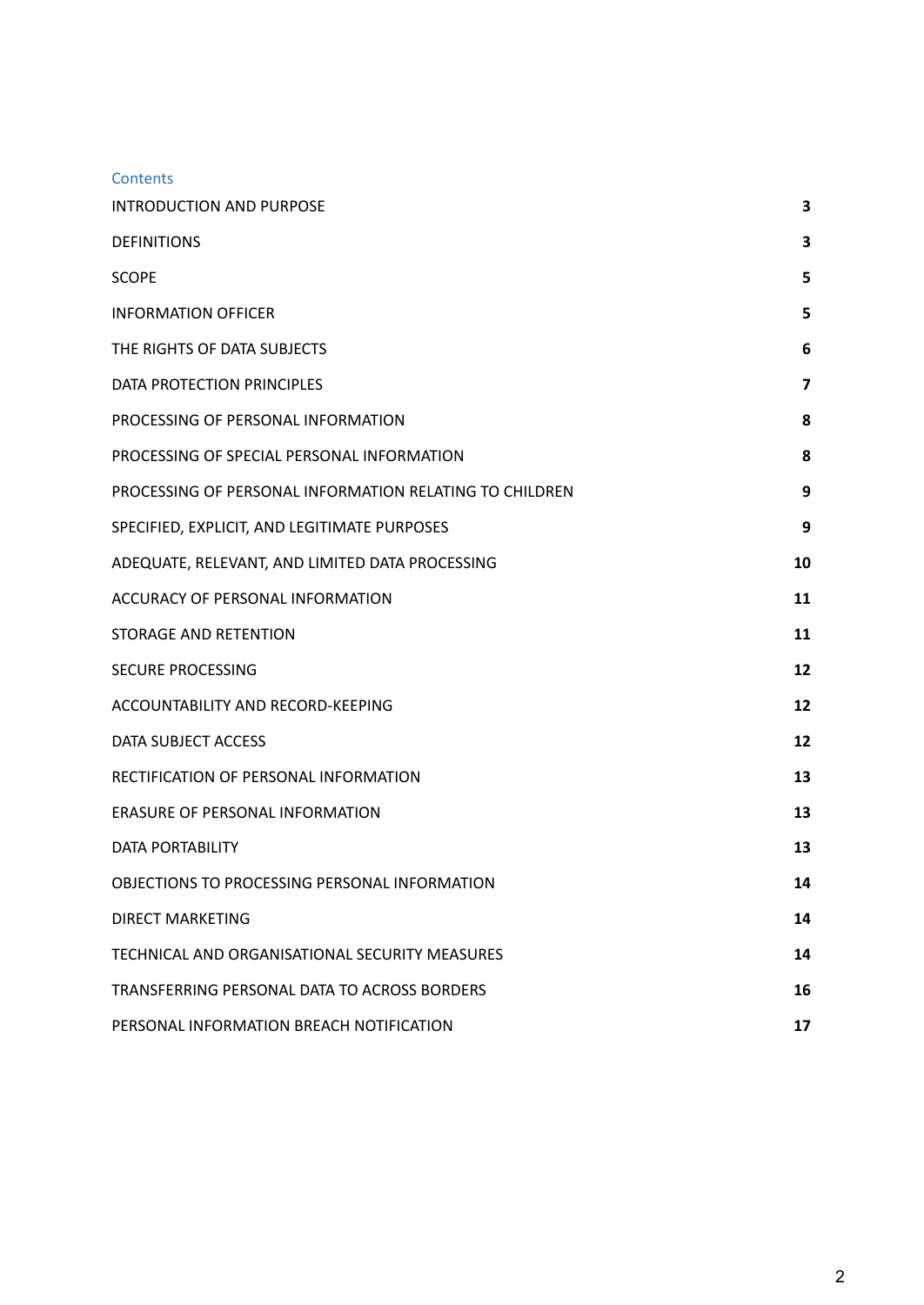| <b>Contents</b>                                         |    |
|---------------------------------------------------------|----|
| <b>INTRODUCTION AND PURPOSE</b>                         | 3  |
| <b>DEFINITIONS</b>                                      | 3  |
| SCOPE                                                   | 5  |
| <b>INFORMATION OFFICER</b>                              | 5  |
| THE RIGHTS OF DATA SUBJECTS                             | 6  |
| DATA PROTECTION PRINCIPLES                              | 7  |
| PROCESSING OF PERSONAL INFORMATION                      | 8  |
| PROCESSING OF SPECIAL PERSONAL INFORMATION              | 8  |
| PROCESSING OF PERSONAL INFORMATION RELATING TO CHILDREN | 9  |
| SPECIFIED, EXPLICIT, AND LEGITIMATE PURPOSES            | 9  |
| ADEQUATE, RELEVANT, AND LIMITED DATA PROCESSING         | 10 |
| ACCURACY OF PERSONAL INFORMATION                        | 11 |
| STORAGE AND RETENTION                                   | 11 |
| SECURE PROCESSING                                       | 12 |
| ACCOUNTABILITY AND RECORD-KEEPING                       | 12 |
| DATA SUBJECT ACCESS                                     | 12 |
| RECTIFICATION OF PERSONAL INFORMATION                   | 13 |
| ERASURE OF PERSONAL INFORMATION                         | 13 |
| DATA PORTABILITY                                        | 13 |
| OBJECTIONS TO PROCESSING PERSONAL INFORMATION           | 14 |
| DIRECT MARKETING                                        | 14 |
| TECHNICAL AND ORGANISATIONAL SECURITY MEASURES          | 14 |
| TRANSFERRING PERSONAL DATA TO ACROSS BORDERS            | 16 |
| PERSONAL INFORMATION BREACH NOTIFICATION                | 17 |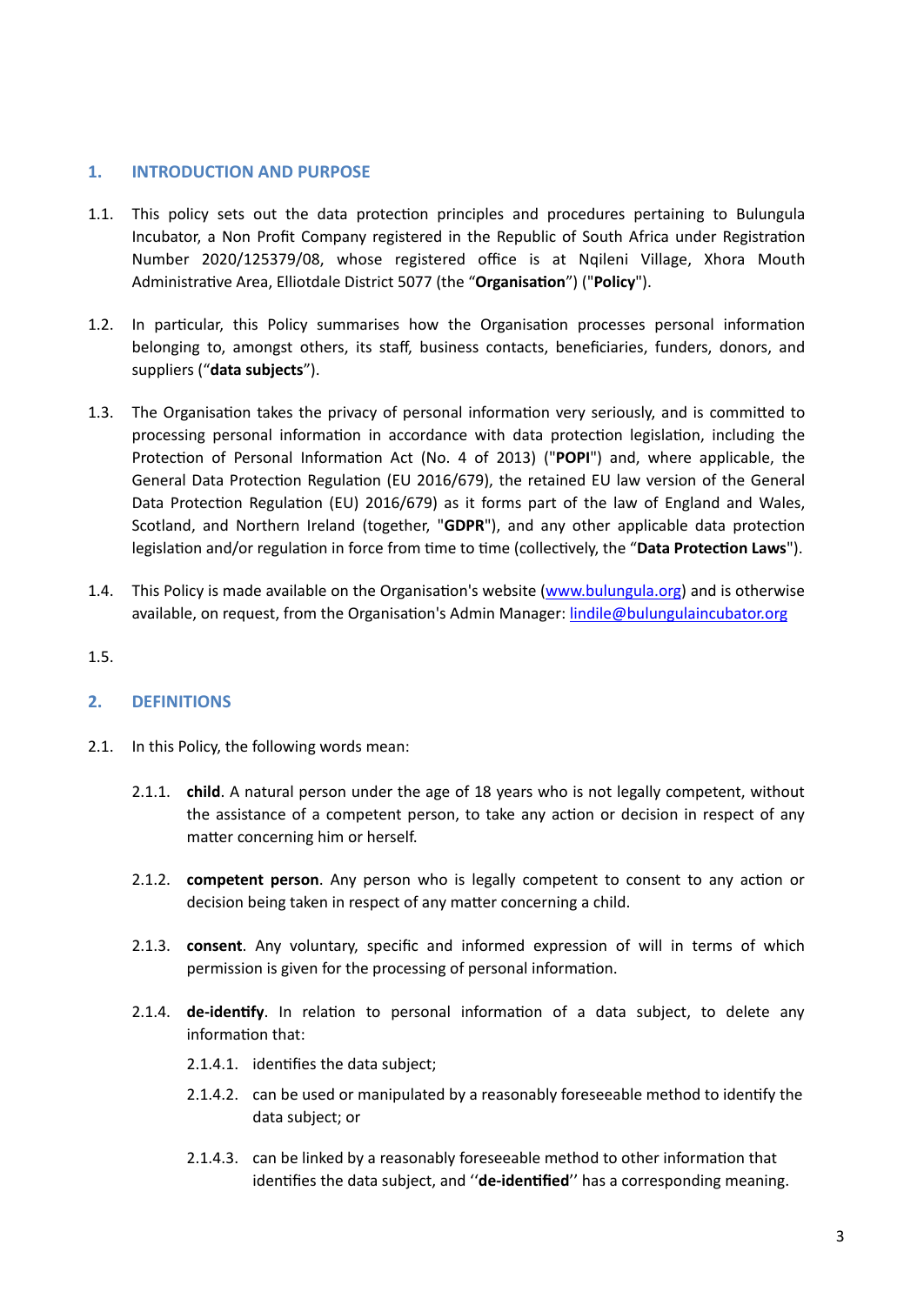# <span id="page-2-0"></span>**1. INTRODUCTION AND PURPOSE**

- 1.1. This policy sets out the data protection principles and procedures pertaining to Bulungula Incubator, a Non Profit Company registered in the Republic of South Africa under Registration Number 2020/125379/08, whose registered office is at Nqileni Village, Xhora Mouth Administrative Area, Elliotdale District 5077 (the "**Organisation**") ("**Policy**").
- 1.2. In particular, this Policy summarises how the Organisation processes personal information belonging to, amongst others, its staff, business contacts, beneficiaries, funders, donors, and suppliers ("**data subjects**").
- 1.3. The Organisation takes the privacy of personal information very seriously, and is committed to processing personal information in accordance with data protection legislation, including the Protection of Personal Information Act (No. 4 of 2013) ("**POPI**") and, where applicable, the General Data Protection Regulation (EU 2016/679), the retained EU law version of the General Data Protection Regulation (EU) 2016/679) as it forms part of the law of England and Wales, Scotland, and Northern Ireland (together, "**GDPR**"), and any other applicable data protection legislation and/or regulation in force from time to time (collectively, the "**Data Protection Laws**").
- 1.4. This Policy is made available on the Organisation's website [\(www.bulungula.org\)](http://www.bulungula.org) and is otherwise available, on request, from the Organisation's Admin Manager: [lindile@bulungulaincubator.org](mailto:lindile@bulungulaincubator.org)
- 1.5.

# <span id="page-2-1"></span>**2. DEFINITIONS**

- 2.1. In this Policy, the following words mean:
	- 2.1.1. **child**. A natural person under the age of 18 years who is not legally competent, without the assistance of a competent person, to take any action or decision in respect of any matter concerning him or herself.
	- 2.1.2. **competent person**. Any person who is legally competent to consent to any action or decision being taken in respect of any matter concerning a child.
	- 2.1.3. **consent**. Any voluntary, specific and informed expression of will in terms of which permission is given for the processing of personal information.
	- 2.1.4. **de-identify**. In relation to personal information of a data subject, to delete any information that:
		- 2.1.4.1. identifies the data subject;
		- 2.1.4.2. can be used or manipulated by a reasonably foreseeable method to identify the data subject; or
		- 2.1.4.3. can be linked by a reasonably foreseeable method to other information that identifies the data subject, and ''**de-identified**'' has a corresponding meaning.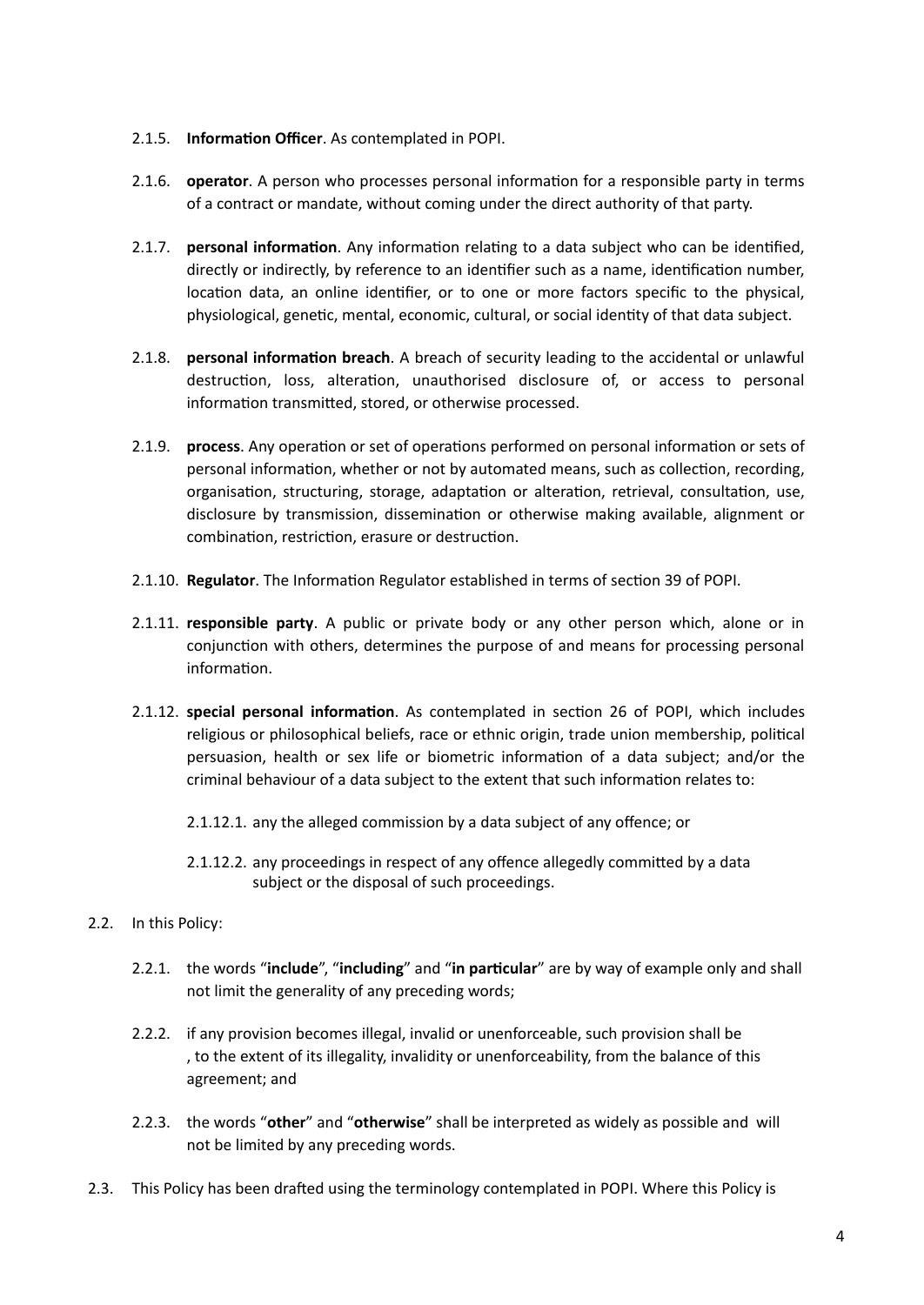# 2.1.5. **Information Officer**. As contemplated in POPI.

- 2.1.6. **operator**. A person who processes personal information for a responsible party in terms of a contract or mandate, without coming under the direct authority of that party.
- 2.1.7. **personal information**. Any information relating to a data subject who can be identified, directly or indirectly, by reference to an identifier such as a name, identification number, location data, an online identifier, or to one or more factors specific to the physical, physiological, genetic, mental, economic, cultural, or social identity of that data subject.
- 2.1.8. **personal information breach**. A breach of security leading to the accidental or unlawful destruction, loss, alteration, unauthorised disclosure of, or access to personal information transmitted, stored, or otherwise processed.
- 2.1.9. **process**. Any operation or set of operations performed on personal information or sets of personal information, whether or not by automated means, such as collection, recording, organisation, structuring, storage, adaptation or alteration, retrieval, consultation, use, disclosure by transmission, dissemination or otherwise making available, alignment or combination, restriction, erasure or destruction.
- 2.1.10. **Regulator**. The Information Regulator established in terms of section 39 of POPI.
- 2.1.11. **responsible party**. A public or private body or any other person which, alone or in conjunction with others, determines the purpose of and means for processing personal information.
- 2.1.12. **special personal information**. As contemplated in section 26 of POPI, which includes religious or philosophical beliefs, race or ethnic origin, trade union membership, political persuasion, health or sex life or biometric information of a data subject; and/or the criminal behaviour of a data subject to the extent that such information relates to:
	- 2.1.12.1. any the alleged commission by a data subject of any offence; or
	- 2.1.12.2. any proceedings in respect of any offence allegedly committed by a data subject or the disposal of such proceedings.
- 2.2. In this Policy:
	- 2.2.1. the words "**include**", "**including**" and "**in particular**" are by way of example only and shall not limit the generality of any preceding words;
	- 2.2.2. if any provision becomes illegal, invalid or unenforceable, such provision shall be , to the extent of its illegality, invalidity or unenforceability, from the balance of this agreement; and
	- 2.2.3. the words "**other**" and "**otherwise**" shall be interpreted as widely as possible and will not be limited by any preceding words.
- 2.3. This Policy has been drafted using the terminology contemplated in POPI. Where this Policy is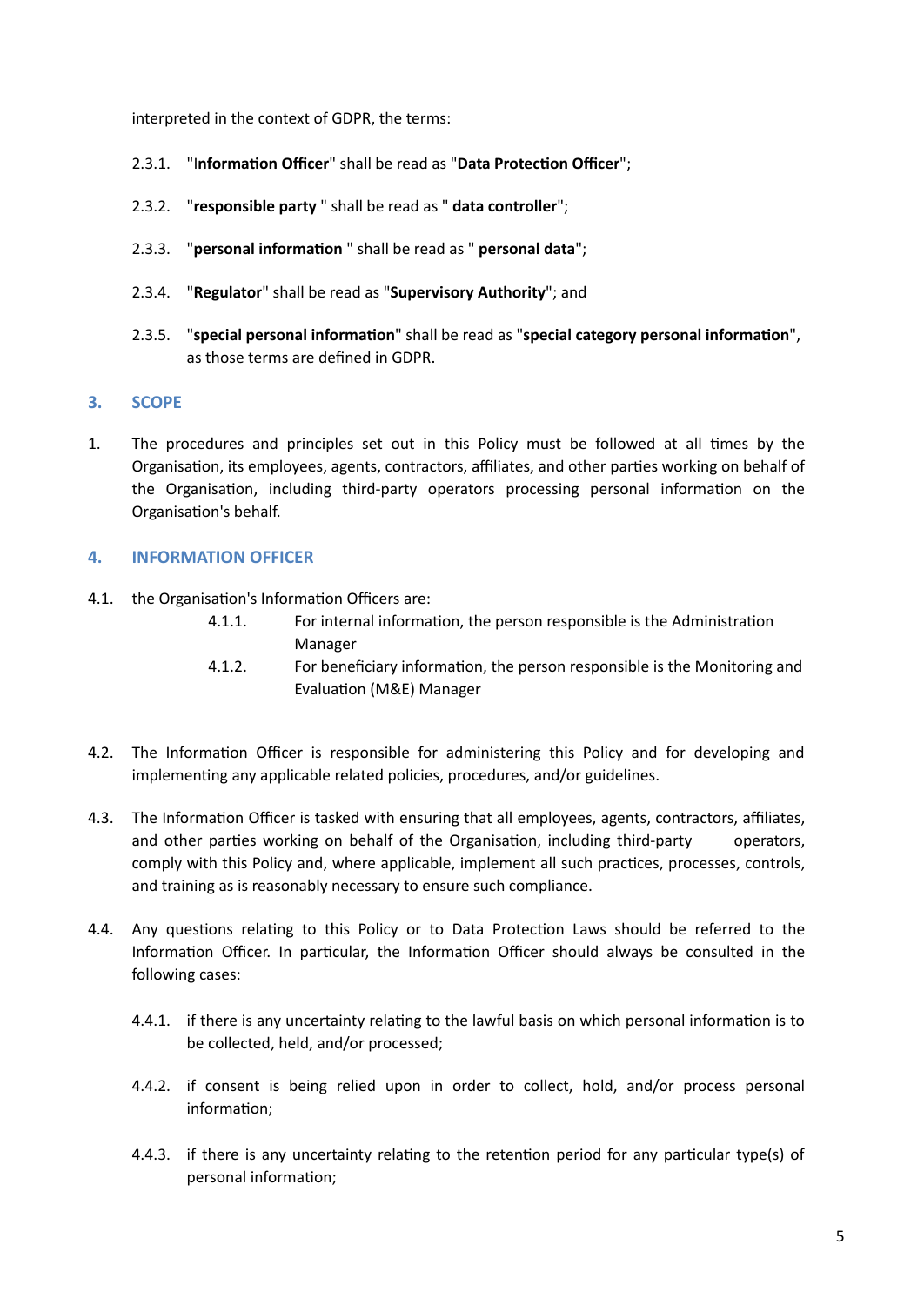interpreted in the context of GDPR, the terms:

- 2.3.1. "I**nformation Officer**" shall be read as "**Data Protection Officer**";
- 2.3.2. "**responsible party** " shall be read as " **data controller**";
- 2.3.3. "**personal information** " shall be read as " **personal data**";
- 2.3.4. "**Regulator**" shall be read as "**Supervisory Authority**"; and
- 2.3.5. "**special personal information**" shall be read as "**special category personal information**", as those terms are defined in GDPR.

### <span id="page-4-0"></span>**3. SCOPE**

1. The procedures and principles set out in this Policy must be followed at all times by the Organisation, its employees, agents, contractors, affiliates, and other parties working on behalf of the Organisation, including third-party operators processing personal information on the Organisation's behalf.

### <span id="page-4-1"></span>**4. INFORMATION OFFICER**

- 4.1. the Organisation's Information Officers are:
	- 4.1.1. For internal information, the person responsible is the Administration Manager
	- 4.1.2. For beneficiary information, the person responsible is the Monitoring and Evaluation (M&E) Manager
- 4.2. The Information Officer is responsible for administering this Policy and for developing and implementing any applicable related policies, procedures, and/or guidelines.
- 4.3. The Information Officer is tasked with ensuring that all employees, agents, contractors, affiliates, and other parties working on behalf of the Organisation, including third-party operators, comply with this Policy and, where applicable, implement all such practices, processes, controls, and training as is reasonably necessary to ensure such compliance.
- 4.4. Any questions relating to this Policy or to Data Protection Laws should be referred to the Information Officer. In particular, the Information Officer should always be consulted in the following cases:
	- 4.4.1. if there is any uncertainty relating to the lawful basis on which personal information is to be collected, held, and/or processed;
	- 4.4.2. if consent is being relied upon in order to collect, hold, and/or process personal information;
	- 4.4.3. if there is any uncertainty relating to the retention period for any particular type(s) of personal information;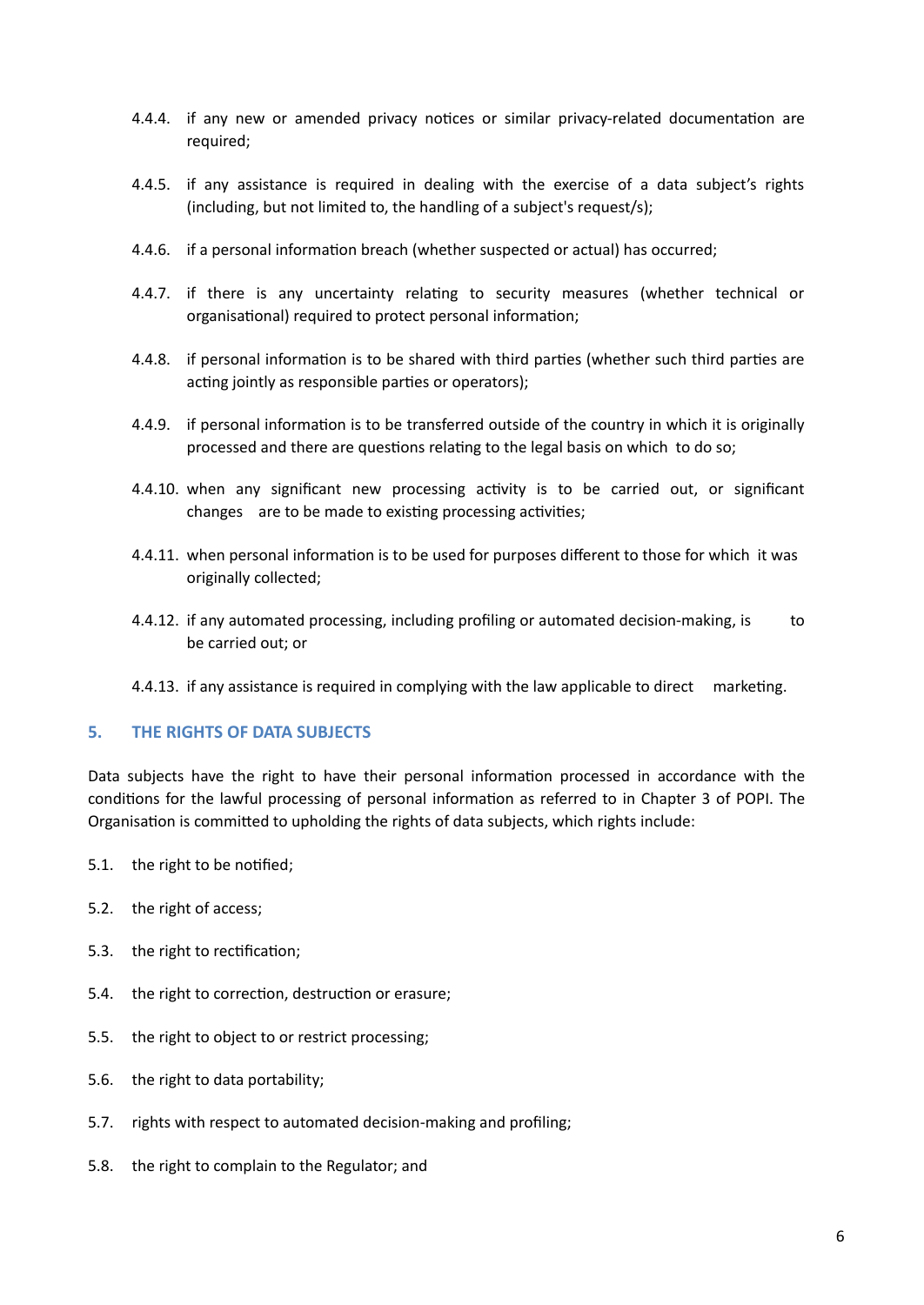- 4.4.4. if any new or amended privacy notices or similar privacy-related documentation are required;
- 4.4.5. if any assistance is required in dealing with the exercise of a data subject's rights (including, but not limited to, the handling of a subject's request/s);
- 4.4.6. if a personal information breach (whether suspected or actual) has occurred;
- 4.4.7. if there is any uncertainty relating to security measures (whether technical or organisational) required to protect personal information;
- 4.4.8. if personal information is to be shared with third parties (whether such third parties are acting jointly as responsible parties or operators);
- 4.4.9. if personal information is to be transferred outside of the country in which it is originally processed and there are questions relating to the legal basis on which to do so;
- 4.4.10. when any significant new processing activity is to be carried out, or significant changes are to be made to existing processing activities;
- 4.4.11. when personal information is to be used for purposes different to those for which it was originally collected;
- 4.4.12. if any automated processing, including profiling or automated decision-making, is to be carried out; or
- <span id="page-5-0"></span>4.4.13. if any assistance is required in complying with the law applicable to direct marketing.

#### **5. THE RIGHTS OF DATA SUBJECTS**

Data subjects have the right to have their personal information processed in accordance with the conditions for the lawful processing of personal information as referred to in [Chapter 3](https://popia.co.za/protection-of-personal-information-act-popia/chapter-3-2/) of POPI. The Organisation is committed to upholding the rights of data subjects, which rights include:

- 5.1. the right to be notified;
- 5.2. the right of access;
- 5.3. the right to rectification;
- 5.4. the right to correction, destruction or erasure;
- 5.5. the right to object to or restrict processing;
- 5.6. the right to data portability;
- 5.7. rights with respect to automated decision-making and profiling;
- 5.8. the right to complain to the Regulator; and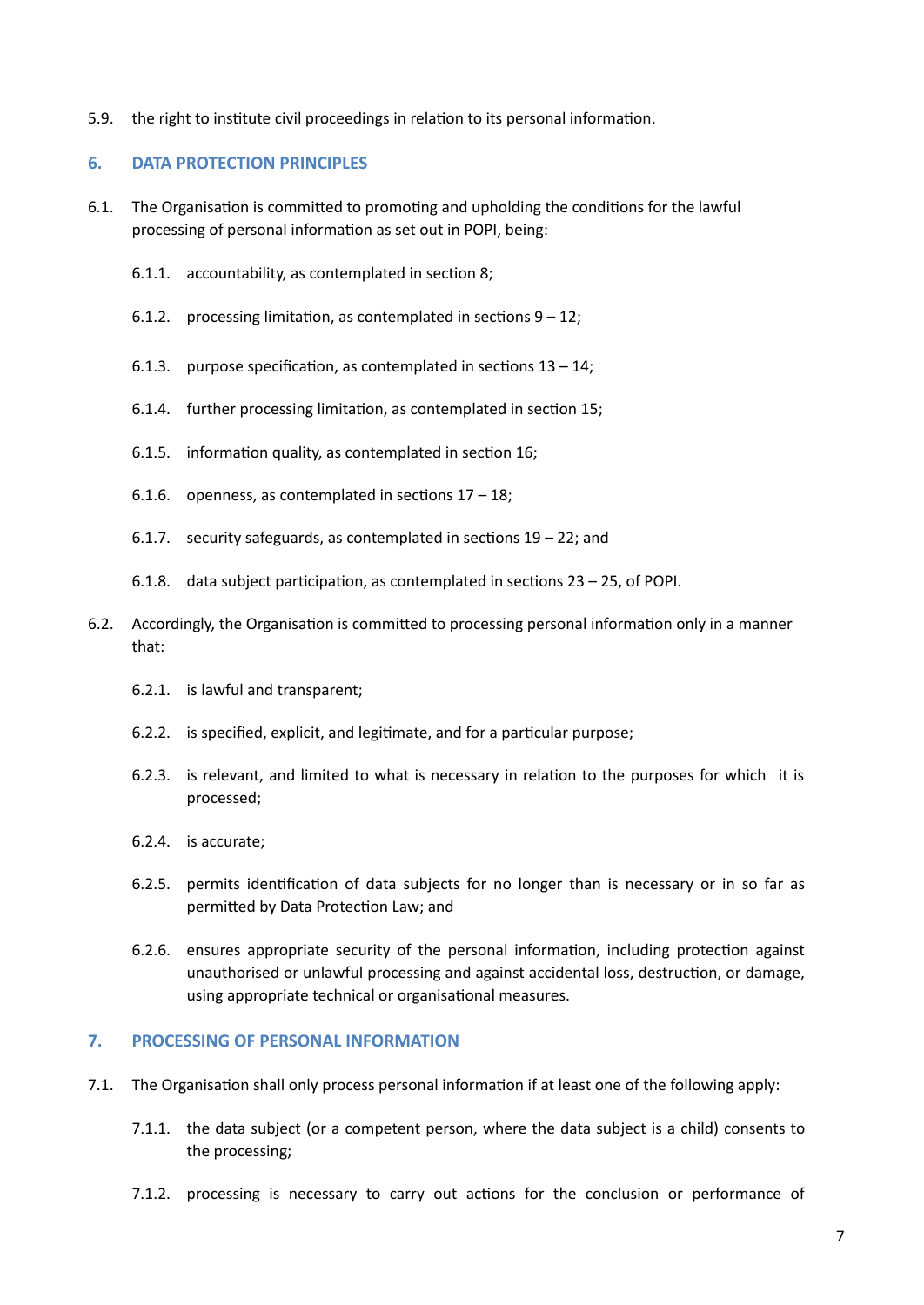5.9. the right to institute civil proceedings in relation to its personal information.

# <span id="page-6-0"></span>**6. DATA PROTECTION PRINCIPLES**

- 6.1. The Organisation is committed to promoting and upholding the conditions for the lawful processing of personal information as set out in POPI, being:
	- 6.1.1. accountability, as contemplated in section 8;
	- 6.1.2. processing limitation, as contemplated in sections  $9 12$ ;
	- 6.1.3. purpose specification, as contemplated in sections  $13 14$ ;
	- 6.1.4. further processing limitation, as contemplated in section 15;
	- 6.1.5. information quality, as contemplated in section 16;
	- 6.1.6. openness, as contemplated in sections  $17 18$ ;
	- 6.1.7. security safeguards, as contemplated in sections 19 22; and
	- 6.1.8. data subject participation, as contemplated in sections 23 25, of POPI.
- 6.2. Accordingly, the Organisation is committed to processing personal information only in a manner that:
	- 6.2.1. is lawful and transparent;
	- 6.2.2. is specified, explicit, and legitimate, and for a particular purpose;
	- 6.2.3. is relevant, and limited to what is necessary in relation to the purposes for which it is processed;
	- 6.2.4. is accurate;
	- 6.2.5. permits identification of data subjects for no longer than is necessary or in so far as permitted by Data Protection Law; and
	- 6.2.6. ensures appropriate security of the personal information, including protection against unauthorised or unlawful processing and against accidental loss, destruction, or damage, using appropriate technical or organisational measures.

#### <span id="page-6-1"></span>**7. PROCESSING OF PERSONAL INFORMATION**

- 7.1. The Organisation shall only process personal information if at least one of the following apply:
	- 7.1.1. the data subject (or a competent person, where the data subject is a child) consents to the processing;
	- 7.1.2. processing is necessary to carry out actions for the conclusion or performance of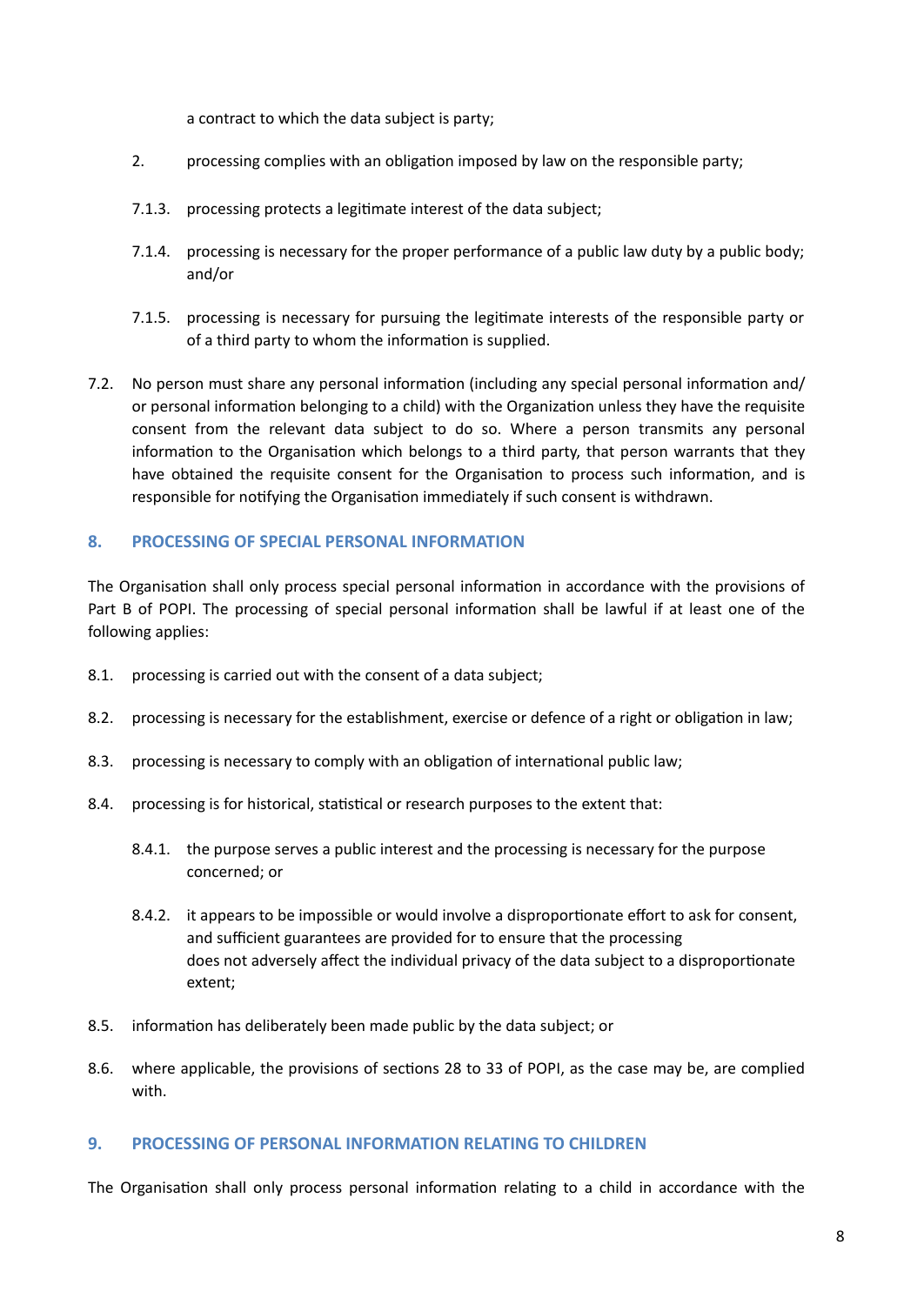a contract to which the data subject is party;

- 2. processing complies with an obligation imposed by law on the responsible party;
- 7.1.3. processing protects a legitimate interest of the data subject;
- 7.1.4. processing is necessary for the proper performance of a public law duty by a public body; and/or
- 7.1.5. processing is necessary for pursuing the legitimate interests of the responsible party or of a third party to whom the information is supplied.
- 7.2. No person must share any personal information (including any special personal information and/ or personal information belonging to a child) with the Organization unless they have the requisite consent from the relevant data subject to do so. Where a person transmits any personal information to the Organisation which belongs to a third party, that person warrants that they have obtained the requisite consent for the Organisation to process such information, and is responsible for notifying the Organisation immediately if such consent is withdrawn.

# <span id="page-7-0"></span>**8. PROCESSING OF SPECIAL PERSONAL INFORMATION**

The Organisation shall only process special personal information in accordance with the provisions of Part B of POPI. The processing of special personal information shall be lawful if at least one of the following applies:

- 8.1. processing is carried out with the consent of a data subject;
- 8.2. processing is necessary for the establishment, exercise or defence of a right or obligation in law;
- 8.3. processing is necessary to comply with an obligation of international public law;
- 8.4. processing is for historical, statistical or research purposes to the extent that:
	- 8.4.1. the purpose serves a public interest and the processing is necessary for the purpose concerned; or
	- 8.4.2. it appears to be impossible or would involve a disproportionate effort to ask for consent, and sufficient guarantees are provided for to ensure that the processing does not adversely affect the individual privacy of the data subject to a disproportionate extent;
- 8.5. information has deliberately been made public by the data subject; or
- 8.6. where applicable, the provisions of sections 28 to 33 of POPI, as the case may be, are complied with.

#### <span id="page-7-1"></span>**9. PROCESSING OF PERSONAL INFORMATION RELATING TO CHILDREN**

The Organisation shall only process personal information relating to a child in accordance with the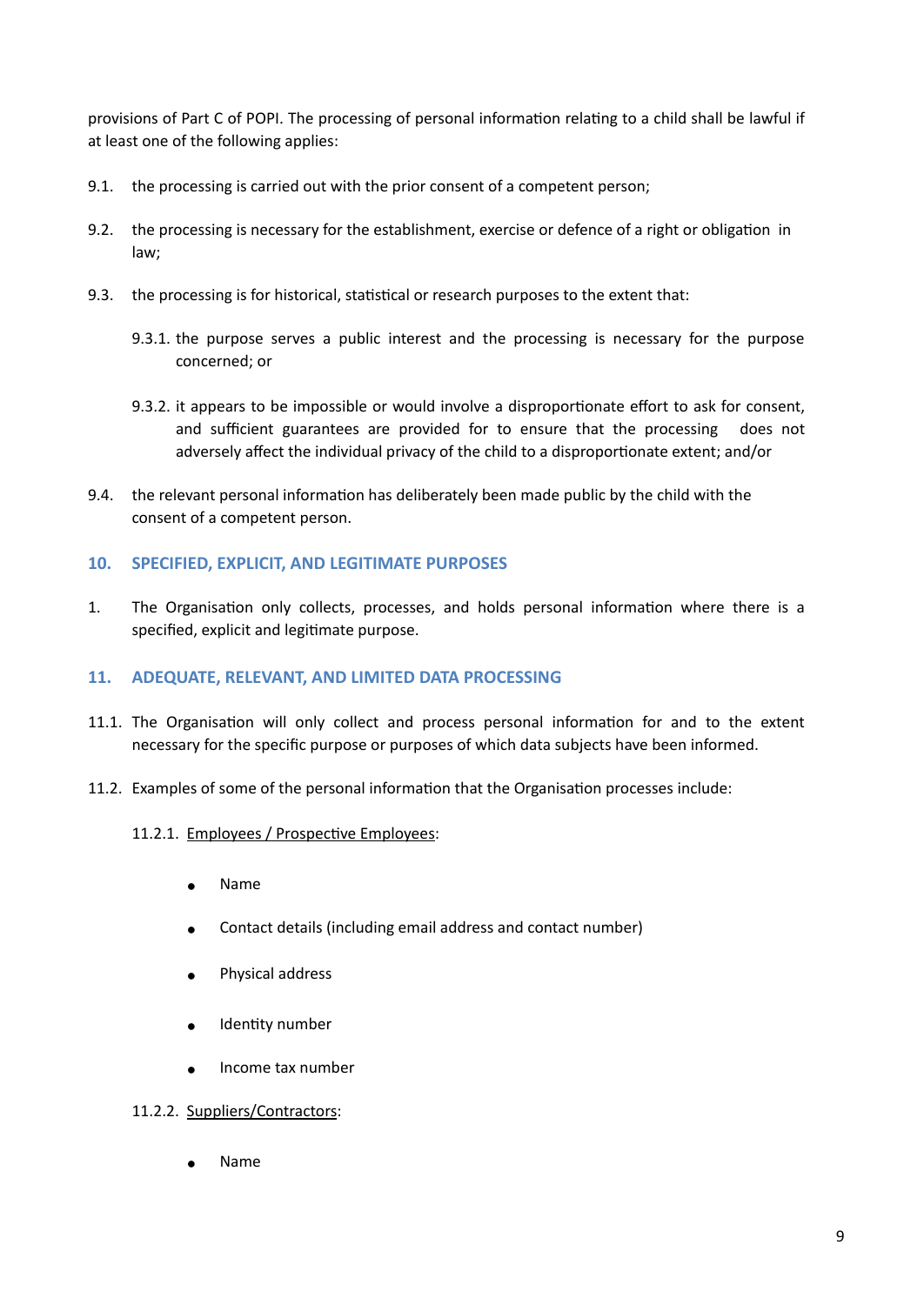provisions of Part C of POPI. The processing of personal information relating to a child shall be lawful if at least one of the following applies:

- 9.1. the processing is carried out with the prior consent of a competent [person;](https://popia.co.za/section-1-definitions/)
- 9.2. the processing is necessary for the establishment, exercise or defence of a right or obligation in law;
- 9.3. the processing is for historical, statistical or research purposes to the extent that:
	- 9.3.1. the purpose serves a public interest and the processing is necessary for the purpose concerned; or
	- 9.3.2. it appears to be impossible or would involve a disproportionate effort to ask for consent, and sufficient guarantees are provided for to ensure that the processing does not adversely affect the individual privacy of the [child](https://popia.co.za/section-1-definitions/) to a disproportionate extent; and/or
- 9.4. the relevant personal information has deliberately been made public by the [child w](https://popia.co.za/section-1-definitions/)ith the consent of a competent [person.](https://popia.co.za/section-1-definitions/)

# <span id="page-8-0"></span>**10. SPECIFIED, EXPLICIT, AND LEGITIMATE PURPOSES**

1. The Organisation only collects, processes, and holds personal information where there is a specified, explicit and legitimate purpose.

# <span id="page-8-1"></span>**11. ADEQUATE, RELEVANT, AND LIMITED DATA PROCESSING**

- 11.1. The Organisation will only collect and process personal information for and to the extent necessary for the specific purpose or purposes of which data subjects have been informed.
- 11.2. Examples of some of the personal information that the Organisation processes include:

#### 11.2.1. Employees / Prospective Employees:

- Name
- Contact details (including email address and contact number)
- Physical address
- Identity number
- Income tax number

# 11.2.2. Suppliers/Contractors:

**Name**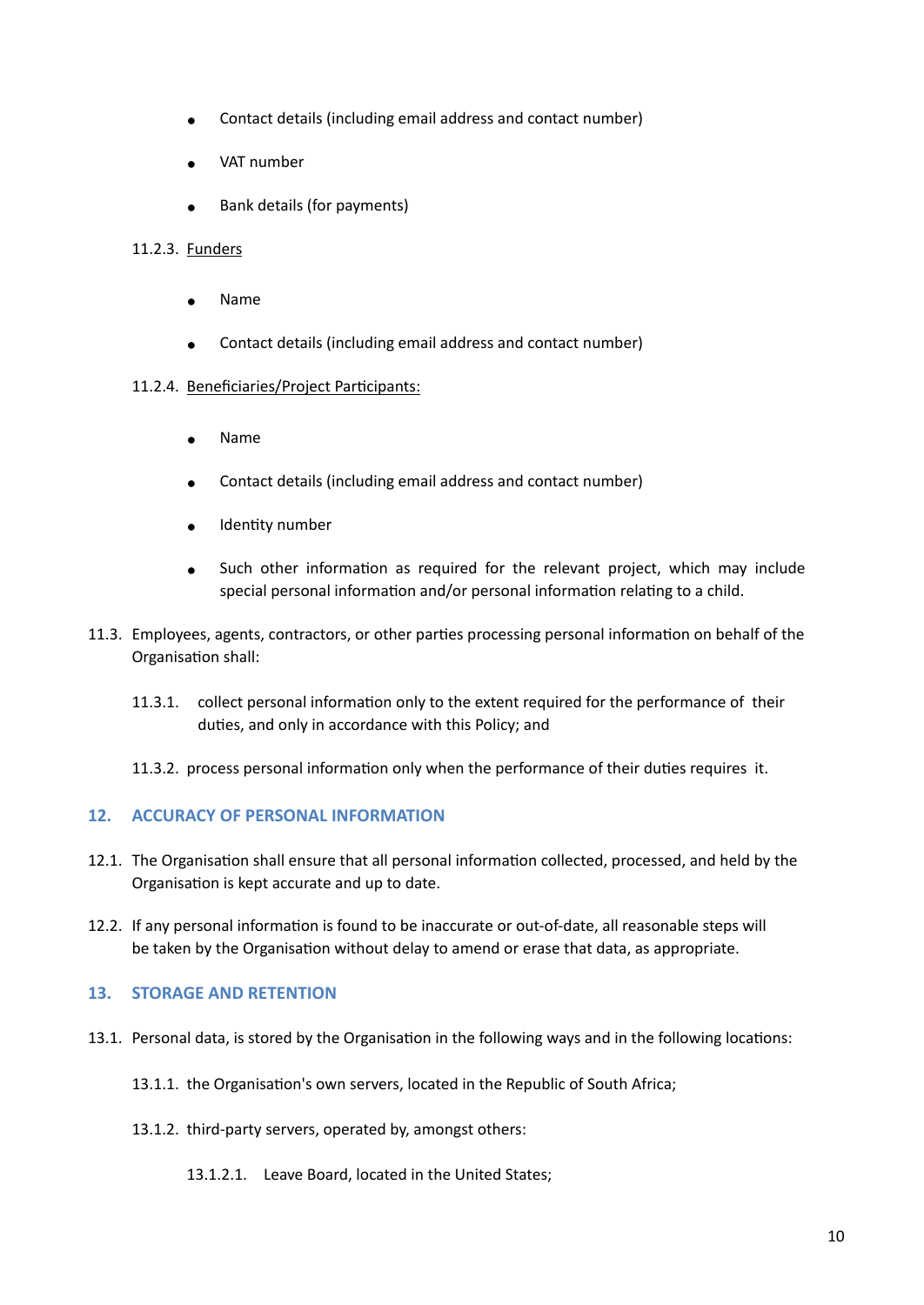- Contact details (including email address and contact number)
- VAT number
- Bank details (for payments)

# 11.2.3. Funders

- **Name**
- Contact details (including email address and contact number)

### 11.2.4. Beneficiaries/Project Participants:

- Name
- Contact details (including email address and contact number)
- Identity number
- Such other information as required for the relevant project, which may include special personal information and/or personal information relating to a child.
- 11.3. Employees, agents, contractors, or other parties processing personal information on behalf of the Organisation shall:
	- 11.3.1. collect personal information only to the extent required for the performance of their duties, and only in accordance with this Policy; and
	- 11.3.2. process personal information only when the performance of their duties requires it.

# <span id="page-9-0"></span>**12. ACCURACY OF PERSONAL INFORMATION**

- 12.1. The Organisation shall ensure that all personal information collected, processed, and held by the Organisation is kept accurate and up to date.
- 12.2. If any personal information is found to be inaccurate or out-of-date, all reasonable steps will be taken by the Organisation without delay to amend or erase that data, as appropriate.

# <span id="page-9-1"></span>**13. STORAGE AND RETENTION**

- 13.1. Personal data, is stored by the Organisation in the following ways and in the following locations:
	- 13.1.1. the Organisation's own servers, located in the Republic of South Africa;
	- 13.1.2. third-party servers, operated by, amongst others:
		- 13.1.2.1. Leave Board, located in the United States;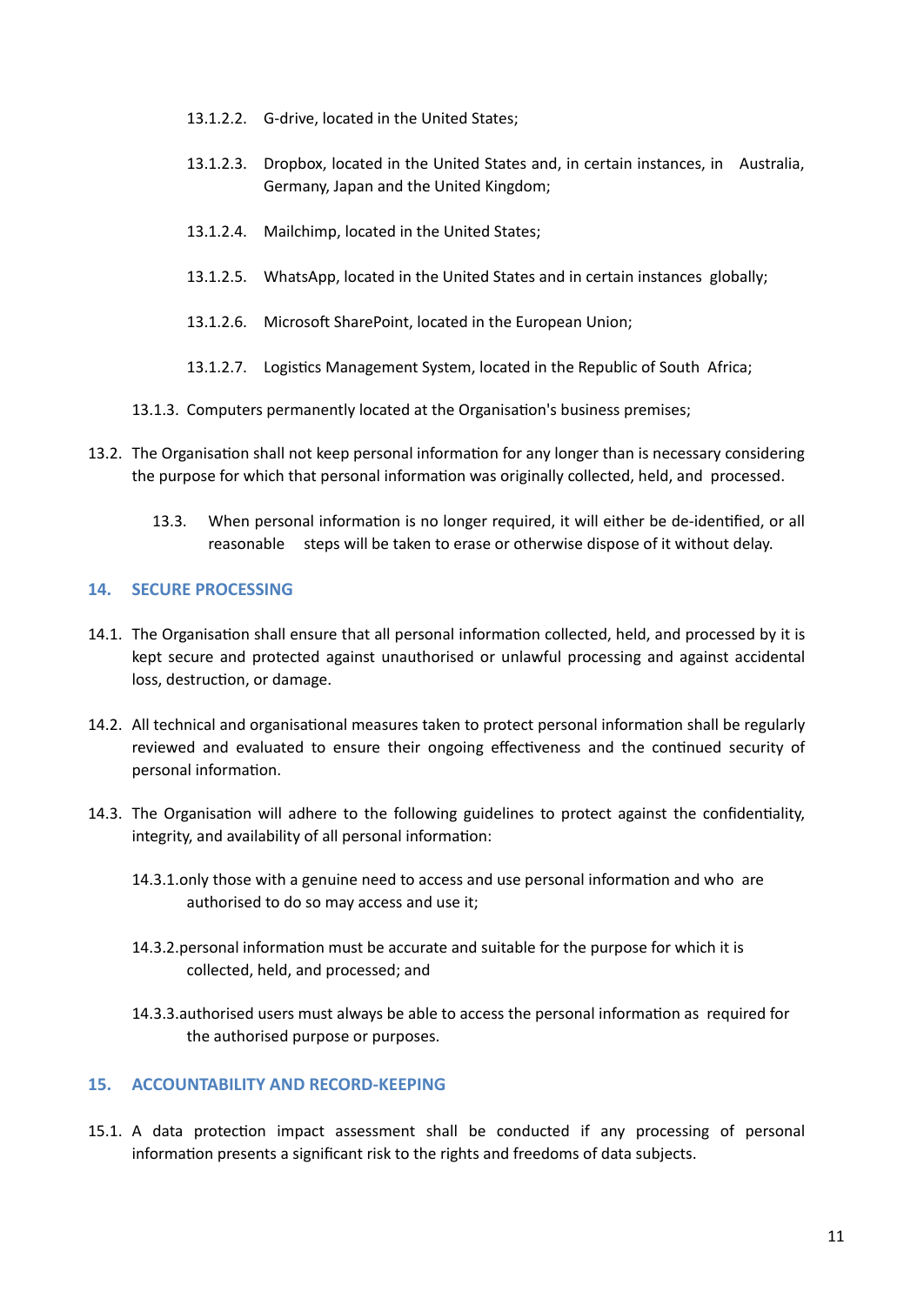- 13.1.2.2. G-drive, located in the United States;
- 13.1.2.3. Dropbox, located in the United States and, in certain instances, in Australia, Germany, Japan and the United Kingdom;
- 13.1.2.4. Mailchimp, located in the United States;
- 13.1.2.5. WhatsApp, located in the United States and in certain instances globally;
- 13.1.2.6. Microsoft SharePoint, located in the European Union;
- 13.1.2.7. Logistics Management System, located in the Republic of South Africa;
- 13.1.3. Computers permanently located at the Organisation's business premises;
- 13.2. The Organisation shall not keep personal information for any longer than is necessary considering the purpose for which that personal information was originally collected, held, and processed.
	- 13.3. When personal information is no longer required, it will either be de-identified, or all reasonable steps will be taken to erase or otherwise dispose of it without delay.

# <span id="page-10-0"></span>**14. SECURE PROCESSING**

- 14.1. The Organisation shall ensure that all personal information collected, held, and processed by it is kept secure and protected against unauthorised or unlawful processing and against accidental loss, destruction, or damage.
- 14.2. All technical and organisational measures taken to protect personal information shall be regularly reviewed and evaluated to ensure their ongoing effectiveness and the continued security of personal information.
- 14.3. The Organisation will adhere to the following guidelines to protect against the confidentiality, integrity, and availability of all personal information:
	- 14.3.1.only those with a genuine need to access and use personal information and who are authorised to do so may access and use it;
	- 14.3.2.personal information must be accurate and suitable for the purpose for which it is collected, held, and processed; and
	- 14.3.3.authorised users must always be able to access the personal information as required for the authorised purpose or purposes.

# <span id="page-10-1"></span>**15. ACCOUNTABILITY AND RECORD-KEEPING**

15.1. A data protection impact assessment shall be conducted if any processing of personal information presents a significant risk to the rights and freedoms of data subjects.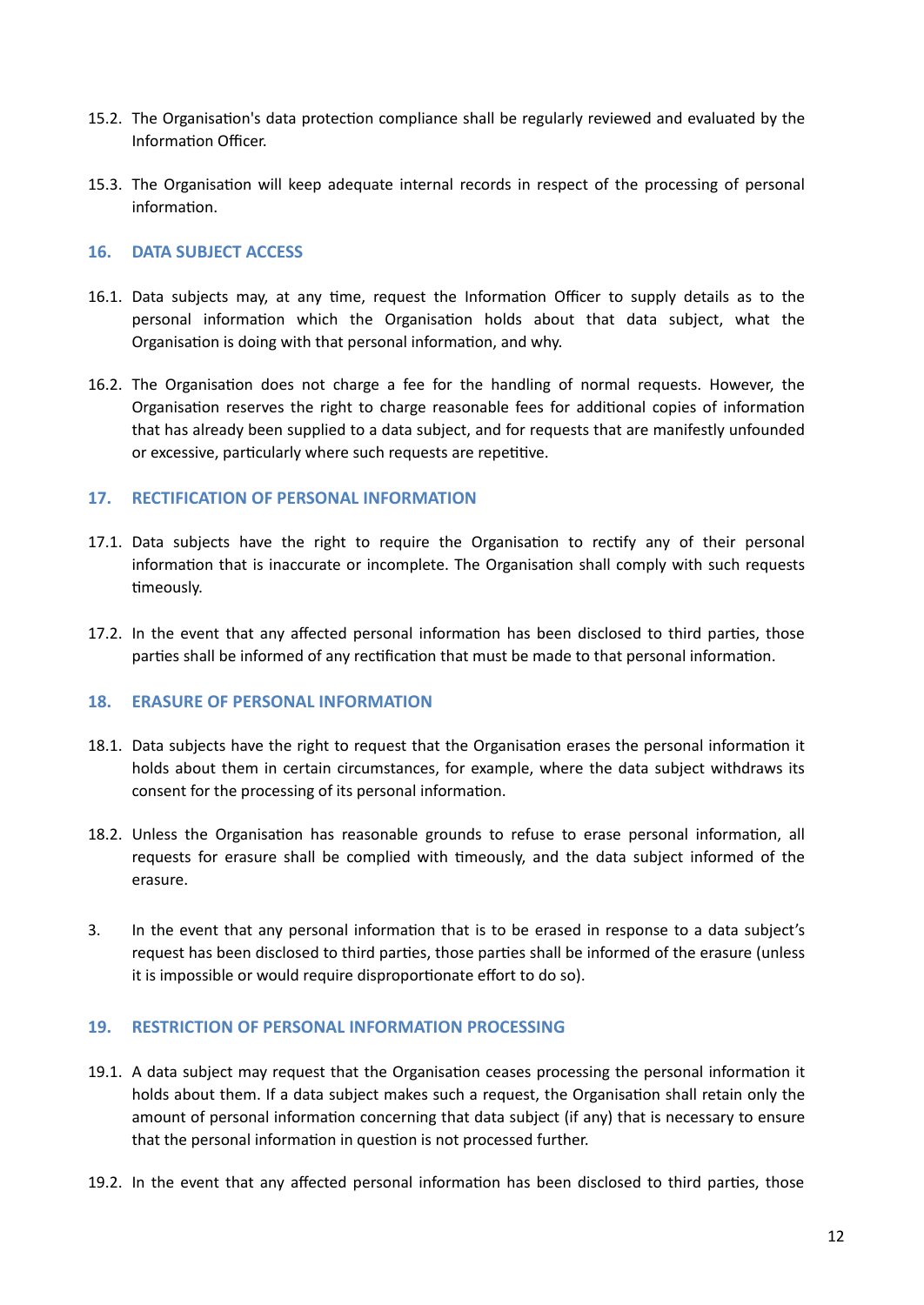- 15.2. The Organisation's data protection compliance shall be regularly reviewed and evaluated by the Information Officer.
- 15.3. The Organisation will keep adequate internal records in respect of the processing of personal information.

# <span id="page-11-0"></span>**16. DATA SUBJECT ACCESS**

- 16.1. Data subjects may, at any time, request the Information Officer to supply details as to the personal information which the Organisation holds about that data subject, what the Organisation is doing with that personal information, and why.
- 16.2. The Organisation does not charge a fee for the handling of normal requests. However, the Organisation reserves the right to charge reasonable fees for additional copies of information that has already been supplied to a data subject, and for requests that are manifestly unfounded or excessive, particularly where such requests are repetitive.

### <span id="page-11-1"></span>**17. RECTIFICATION OF PERSONAL INFORMATION**

- 17.1. Data subjects have the right to require the Organisation to rectify any of their personal information that is inaccurate or incomplete. The Organisation shall comply with such requests timeously.
- 17.2. In the event that any affected personal information has been disclosed to third parties, those parties shall be informed of any rectification that must be made to that personal information.

# <span id="page-11-2"></span>**18. ERASURE OF PERSONAL INFORMATION**

- 18.1. Data subjects have the right to request that the Organisation erases the personal information it holds about them in certain circumstances, for example, where the data subject withdraws its consent for the processing of its personal information.
- 18.2. Unless the Organisation has reasonable grounds to refuse to erase personal information, all requests for erasure shall be complied with timeously, and the data subject informed of the erasure.
- 3. In the event that any personal information that is to be erased in response to a data subject's request has been disclosed to third parties, those parties shall be informed of the erasure (unless it is impossible or would require disproportionate effort to do so).

#### **19. RESTRICTION OF PERSONAL INFORMATION PROCESSING**

- 19.1. A data subject may request that the Organisation ceases processing the personal information it holds about them. If a data subject makes such a request, the Organisation shall retain only the amount of personal information concerning that data subject (if any) that is necessary to ensure that the personal information in question is not processed further.
- 19.2. In the event that any affected personal information has been disclosed to third parties, those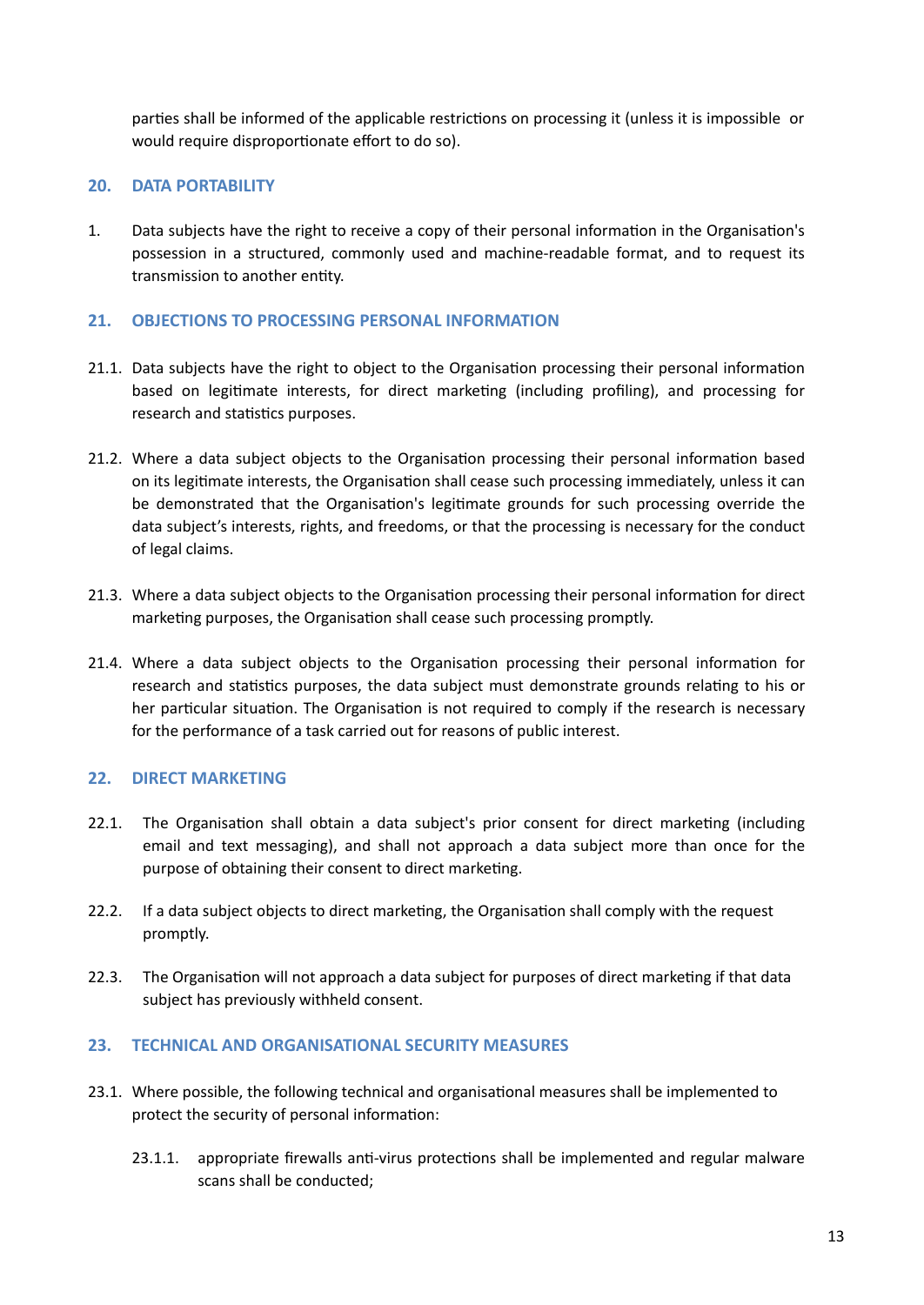parties shall be informed of the applicable restrictions on processing it (unless it is impossible or would require disproportionate effort to do so).

# <span id="page-12-0"></span>**20. DATA PORTABILITY**

1. Data subjects have the right to receive a copy of their personal information in the Organisation's possession in a structured, commonly used and machine-readable format, and to request its transmission to another entity.

# <span id="page-12-1"></span>**21. OBJECTIONS TO PROCESSING PERSONAL INFORMATION**

- 21.1. Data subjects have the right to object to the Organisation processing their personal information based on legitimate interests, for direct marketing (including profiling), and processing for research and statistics purposes.
- 21.2. Where a data subject objects to the Organisation processing their personal information based on its legitimate interests, the Organisation shall cease such processing immediately, unless it can be demonstrated that the Organisation's legitimate grounds for such processing override the data subject's interests, rights, and freedoms, or that the processing is necessary for the conduct of legal claims.
- 21.3. Where a data subject objects to the Organisation processing their personal information for direct marketing purposes, the Organisation shall cease such processing promptly.
- 21.4. Where a data subject objects to the Organisation processing their personal information for research and statistics purposes, the data subject must demonstrate grounds relating to his or her particular situation. The Organisation is not required to comply if the research is necessary for the performance of a task carried out for reasons of public interest.

# <span id="page-12-2"></span>**22. DIRECT MARKETING**

- 22.1. The Organisation shall obtain a data subject's prior consent for direct marketing (including email and text messaging), and shall not approach a data subject more than once for the purpose of obtaining their consent to direct marketing.
- 22.2. If a data subject objects to direct marketing, the Organisation shall comply with the request promptly.
- 22.3. The Organisation will not approach a data subject for purposes of direct marketing if that data subject has previously withheld consent.

# <span id="page-12-3"></span>**23. TECHNICAL AND ORGANISATIONAL SECURITY MEASURES**

- 23.1. Where possible, the following technical and organisational measures shall be implemented to protect the security of personal information:
	- 23.1.1. appropriate firewalls anti-virus protections shall be implemented and regular malware scans shall be conducted;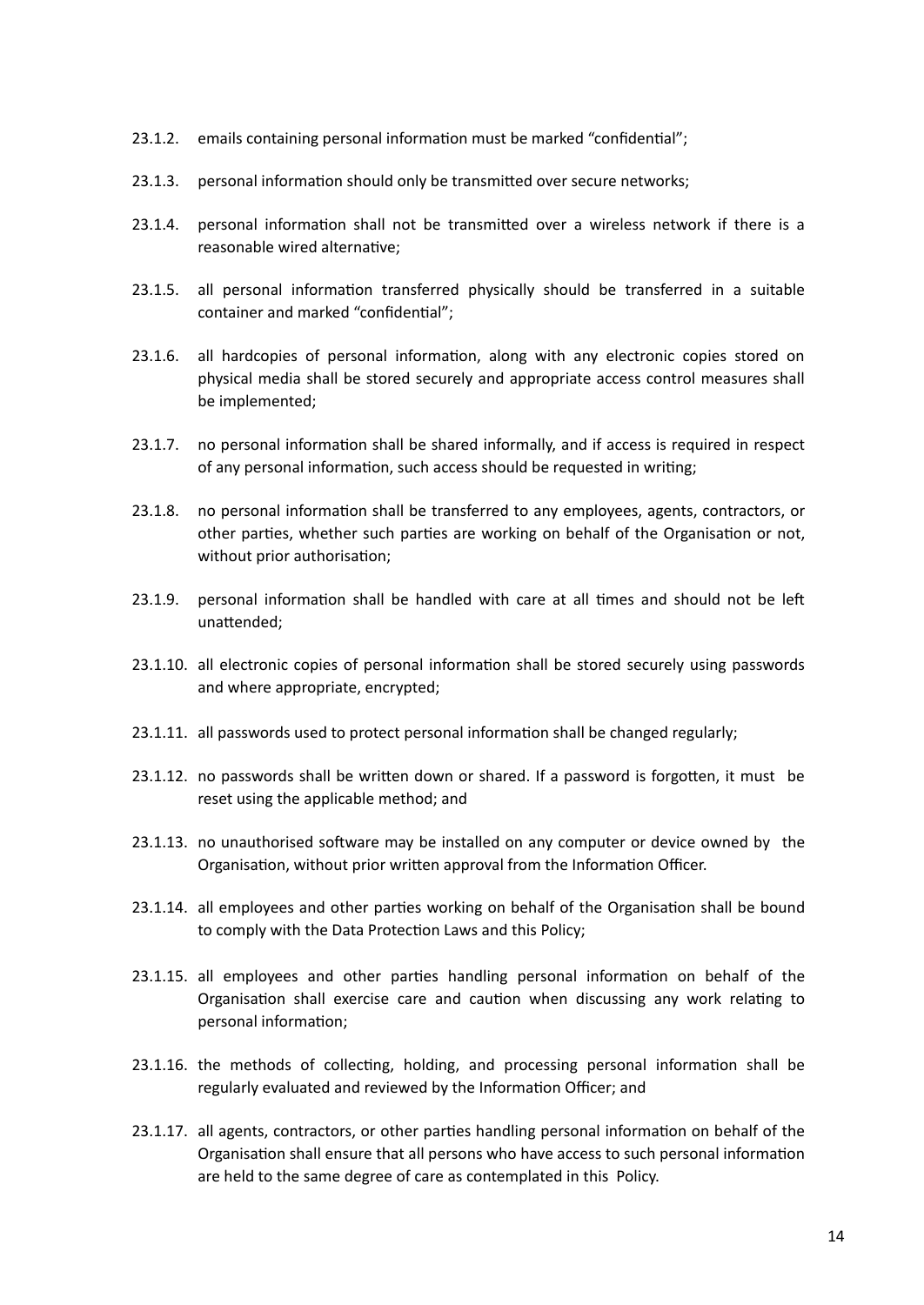- 23.1.2. emails containing personal information must be marked "confidential";
- 23.1.3. personal information should only be transmitted over secure networks;
- 23.1.4. personal information shall not be transmitted over a wireless network if there is a reasonable wired alternative;
- 23.1.5. all personal information transferred physically should be transferred in a suitable container and marked "confidential";
- 23.1.6. all hardcopies of personal information, along with any electronic copies stored on physical media shall be stored securely and appropriate access control measures shall be implemented;
- 23.1.7. no personal information shall be shared informally, and if access is required in respect of any personal information, such access should be requested in writing;
- 23.1.8. no personal information shall be transferred to any employees, agents, contractors, or other parties, whether such parties are working on behalf of the Organisation or not, without prior authorisation;
- 23.1.9. personal information shall be handled with care at all times and should not be left unattended;
- 23.1.10. all electronic copies of personal information shall be stored securely using passwords and where appropriate, encrypted;
- 23.1.11. all passwords used to protect personal information shall be changed regularly;
- 23.1.12. no passwords shall be written down or shared. If a password is forgotten, it must be reset using the applicable method; and
- 23.1.13. no unauthorised software may be installed on any computer or device owned by the Organisation, without prior written approval from the Information Officer.
- 23.1.14. all employees and other parties working on behalf of the Organisation shall be bound to comply with the Data Protection Laws and this Policy;
- 23.1.15. all employees and other parties handling personal information on behalf of the Organisation shall exercise care and caution when discussing any work relating to personal information;
- 23.1.16. the methods of collecting, holding, and processing personal information shall be regularly evaluated and reviewed by the Information Officer; and
- 23.1.17. all agents, contractors, or other parties handling personal information on behalf of the Organisation shall ensure that all persons who have access to such personal information are held to the same degree of care as contemplated in this Policy.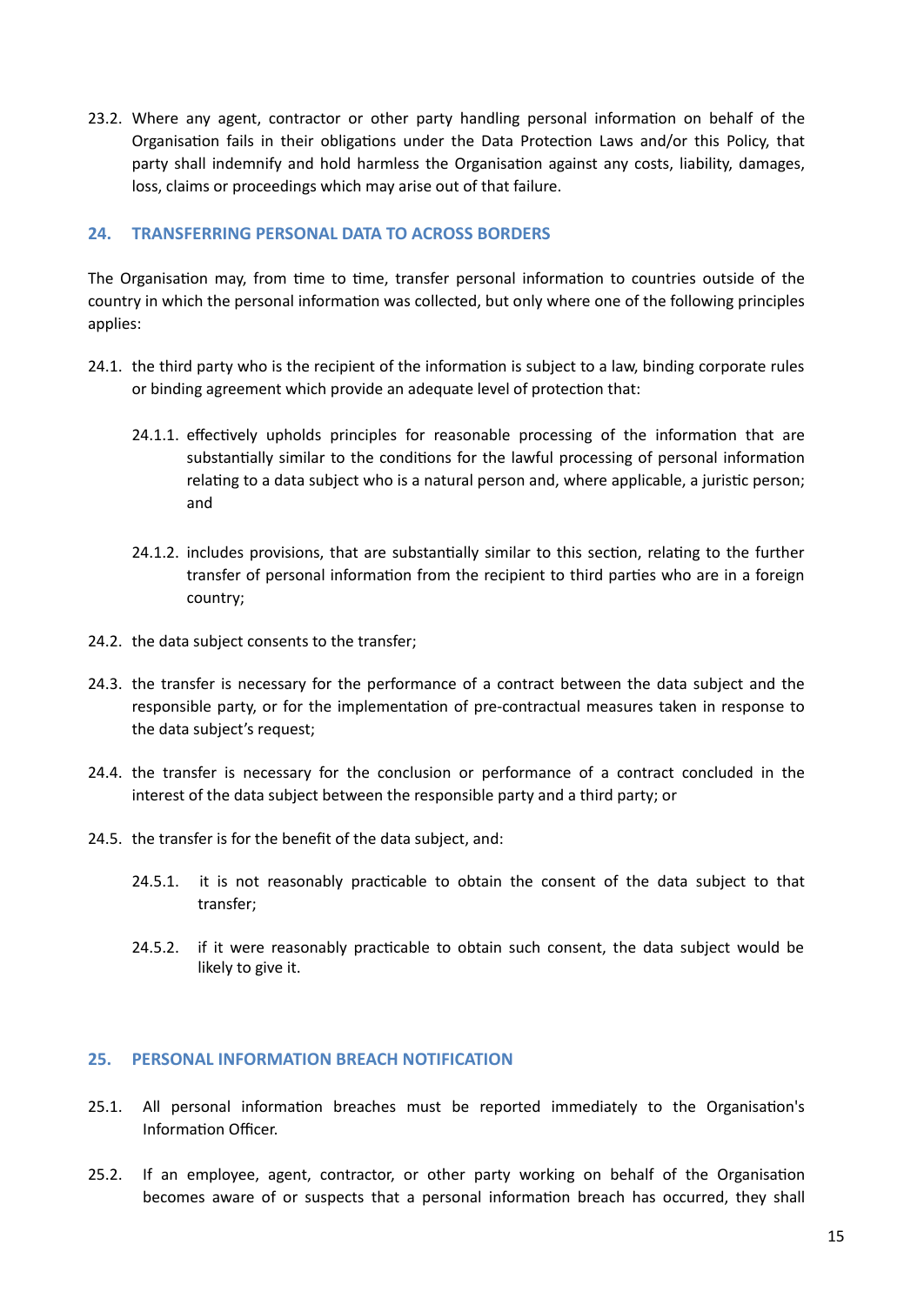23.2. Where any agent, contractor or other party handling personal information on behalf of the Organisation fails in their obligations under the Data Protection Laws and/or this Policy, that party shall indemnify and hold harmless the Organisation against any costs, liability, damages, loss, claims or proceedings which may arise out of that failure.

# <span id="page-14-0"></span>**24. TRANSFERRING PERSONAL DATA TO ACROSS BORDERS**

The Organisation may, from time to time, transfer personal information to countries outside of the country in which the personal information was collected, but only where one of the following principles applies:

- 24.1. the third party who is the recipient of the information is subject to a law, binding corporate rules or binding agreement which provide an adequate level of protection that:
	- 24.1.1. effectively upholds principles for reasonable processing of the information that are substantially similar to the conditions for the lawful processing of personal information relating to a data subject who is a natural [person](https://popia.co.za/section-1-definitions/) and, where applicable, a juristic [person;](https://popia.co.za/section-1-definitions/) and
	- 24.1.2. includes provisions, that are substantially similar to this section, relating to the further transfer of personal information from the recipient to third parties who are in a foreign country;
- 24.2. the data subject consents to the transfer;
- 24.3. the transfer is necessary for the performance of a contract between the data subject and the responsible party, or for the implementation of pre-contractual measures taken in response to the data subject's request;
- 24.4. the transfer is necessary for the conclusion or performance of a contract concluded in the interest of the data subject between the responsible party and a third party; or
- 24.5. the transfer is for the benefit of the data subject, and:
	- 24.5.1. it is not reasonably practicable to obtain the consent of the data subject to that transfer;
	- 24.5.2. if it were reasonably practicable to obtain such consent, the data subject would be likely to give it.

#### <span id="page-14-1"></span>**25. PERSONAL INFORMATION BREACH NOTIFICATION**

- 25.1. All personal information breaches must be reported immediately to the Organisation's Information Officer.
- 25.2. If an employee, agent, contractor, or other party working on behalf of the Organisation becomes aware of or suspects that a personal information breach has occurred, they shall